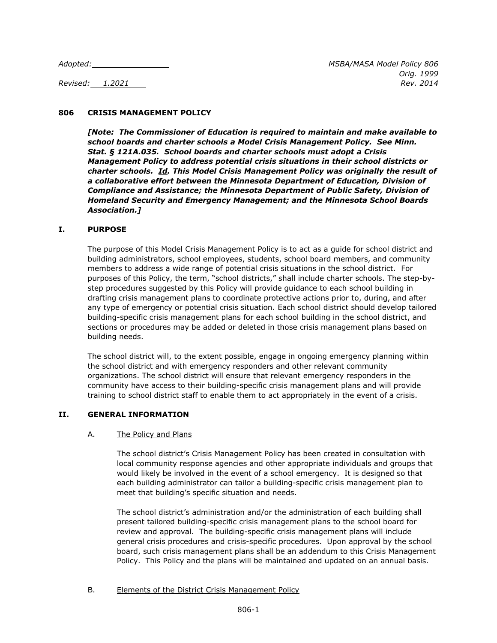# **806 CRISIS MANAGEMENT POLICY**

*[Note: The Commissioner of Education is required to maintain and make available to school boards and charter schools a Model Crisis Management Policy. See Minn. Stat. § 121A.035. School boards and charter schools must adopt a Crisis Management Policy to address potential crisis situations in their school districts or charter schools. Id. This Model Crisis Management Policy was originally the result of a collaborative effort between the Minnesota Department of Education, Division of Compliance and Assistance; the Minnesota Department of Public Safety, Division of Homeland Security and Emergency Management; and the Minnesota School Boards Association.]*

## **I. PURPOSE**

The purpose of this Model Crisis Management Policy is to act as a guide for school district and building administrators, school employees, students, school board members, and community members to address a wide range of potential crisis situations in the school district. For purposes of this Policy, the term, "school districts," shall include charter schools. The step-bystep procedures suggested by this Policy will provide guidance to each school building in drafting crisis management plans to coordinate protective actions prior to, during, and after any type of emergency or potential crisis situation. Each school district should develop tailored building-specific crisis management plans for each school building in the school district, and sections or procedures may be added or deleted in those crisis management plans based on building needs.

The school district will, to the extent possible, engage in ongoing emergency planning within the school district and with emergency responders and other relevant community organizations. The school district will ensure that relevant emergency responders in the community have access to their building-specific crisis management plans and will provide training to school district staff to enable them to act appropriately in the event of a crisis.

# **II. GENERAL INFORMATION**

#### A. The Policy and Plans

The school district's Crisis Management Policy has been created in consultation with local community response agencies and other appropriate individuals and groups that would likely be involved in the event of a school emergency. It is designed so that each building administrator can tailor a building-specific crisis management plan to meet that building's specific situation and needs.

The school district's administration and/or the administration of each building shall present tailored building-specific crisis management plans to the school board for review and approval. The building-specific crisis management plans will include general crisis procedures and crisis-specific procedures. Upon approval by the school board, such crisis management plans shall be an addendum to this Crisis Management Policy. This Policy and the plans will be maintained and updated on an annual basis.

#### B. Elements of the District Crisis Management Policy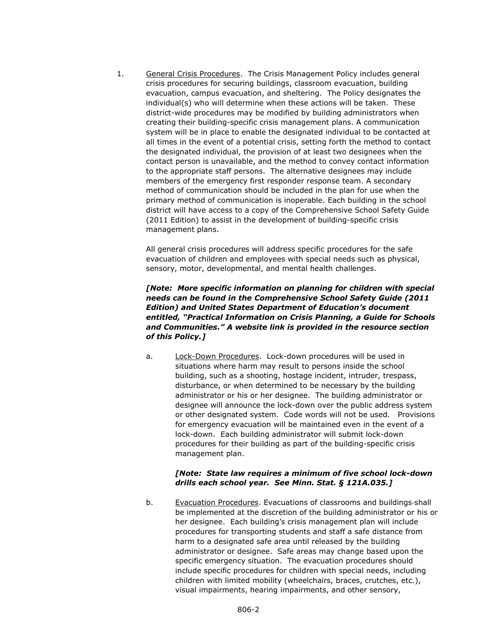1. General Crisis Procedures. The Crisis Management Policy includes general crisis procedures for securing buildings, classroom evacuation, building evacuation, campus evacuation, and sheltering. The Policy designates the individual(s) who will determine when these actions will be taken. These district-wide procedures may be modified by building administrators when creating their building-specific crisis management plans. A communication system will be in place to enable the designated individual to be contacted at all times in the event of a potential crisis, setting forth the method to contact the designated individual, the provision of at least two designees when the contact person is unavailable, and the method to convey contact information to the appropriate staff persons. The alternative designees may include members of the emergency first responder response team. A secondary method of communication should be included in the plan for use when the primary method of communication is inoperable. Each building in the school district will have access to a copy of the Comprehensive School Safety Guide (2011 Edition) to assist in the development of building-specific crisis management plans.

All general crisis procedures will address specific procedures for the safe evacuation of children and employees with special needs such as physical, sensory, motor, developmental, and mental health challenges.

*[Note: More specific information on planning for children with special needs can be found in the Comprehensive School Safety Guide (2011 Edition) and United States Department of Education's document entitled, "Practical Information on Crisis Planning, a Guide for Schools and Communities." A website link is provided in the resource section of this Policy.]*

a. Lock-Down Procedures. Lock-down procedures will be used in situations where harm may result to persons inside the school building, such as a shooting, hostage incident, intruder, trespass, disturbance, or when determined to be necessary by the building administrator or his or her designee. The building administrator or designee will announce the lock-down over the public address system or other designated system. Code words will not be used. Provisions for emergency evacuation will be maintained even in the event of a lock-down. Each building administrator will submit lock-down procedures for their building as part of the building-specific crisis management plan.

## *[Note: State law requires a minimum of five school lock-down drills each school year. See Minn. Stat. § 121A.035.]*

b. Evacuation Procedures. Evacuations of classrooms and buildings-shall be implemented at the discretion of the building administrator or his or her designee. Each building's crisis management plan will include procedures for transporting students and staff a safe distance from harm to a designated safe area until released by the building administrator or designee. Safe areas may change based upon the specific emergency situation. The evacuation procedures should include specific procedures for children with special needs, including children with limited mobility (wheelchairs, braces, crutches, etc.), visual impairments, hearing impairments, and other sensory,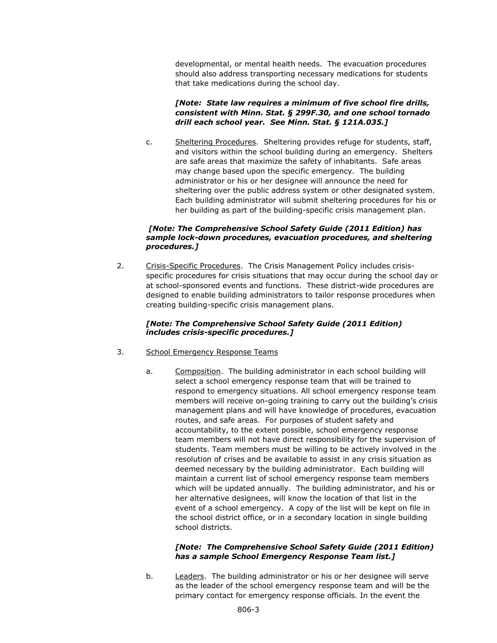developmental, or mental health needs. The evacuation procedures should also address transporting necessary medications for students that take medications during the school day.

# *[Note: State law requires a minimum of five school fire drills, consistent with Minn. Stat. § 299F.30, and one school tornado drill each school year. See Minn. Stat. § 121A.035.]*

c. Sheltering Procedures. Sheltering provides refuge for students, staff, and visitors within the school building during an emergency. Shelters are safe areas that maximize the safety of inhabitants. Safe areas may change based upon the specific emergency. The building administrator or his or her designee will announce the need for sheltering over the public address system or other designated system. Each building administrator will submit sheltering procedures for his or her building as part of the building-specific crisis management plan.

## *[Note: The Comprehensive School Safety Guide (2011 Edition) has sample lock-down procedures, evacuation procedures, and sheltering procedures.]*

2. Crisis-Specific Procedures. The Crisis Management Policy includes crisisspecific procedures for crisis situations that may occur during the school day or at school-sponsored events and functions. These district-wide procedures are designed to enable building administrators to tailor response procedures when creating building-specific crisis management plans.

## *[Note: The Comprehensive School Safety Guide (2011 Edition) includes crisis-specific procedures.]*

## 3. School Emergency Response Teams

a. Composition. The building administrator in each school building will select a school emergency response team that will be trained to respond to emergency situations. All school emergency response team members will receive on-going training to carry out the building's crisis management plans and will have knowledge of procedures, evacuation routes, and safe areas. For purposes of student safety and accountability, to the extent possible, school emergency response team members will not have direct responsibility for the supervision of students. Team members must be willing to be actively involved in the resolution of crises and be available to assist in any crisis situation as deemed necessary by the building administrator. Each building will maintain a current list of school emergency response team members which will be updated annually. The building administrator, and his or her alternative designees, will know the location of that list in the event of a school emergency. A copy of the list will be kept on file in the school district office, or in a secondary location in single building school districts.

# *[Note: The Comprehensive School Safety Guide (2011 Edition) has a sample School Emergency Response Team list.]*

b. Leaders. The building administrator or his or her designee will serve as the leader of the school emergency response team and will be the primary contact for emergency response officials. In the event the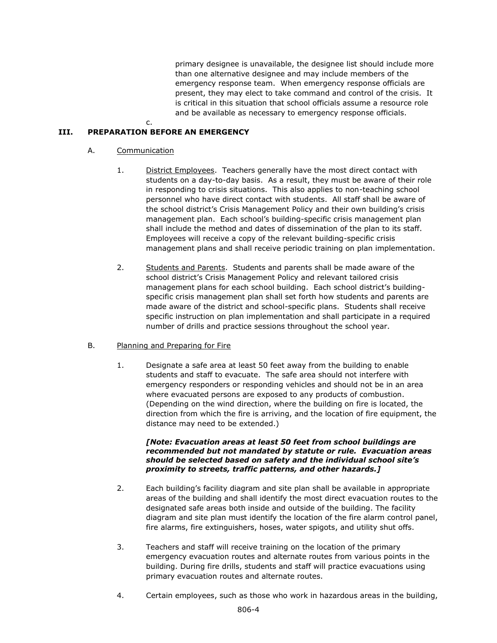primary designee is unavailable, the designee list should include more than one alternative designee and may include members of the emergency response team. When emergency response officials are present, they may elect to take command and control of the crisis. It is critical in this situation that school officials assume a resource role and be available as necessary to emergency response officials.

# **III. PREPARATION BEFORE AN EMERGENCY**

c.

# A. Communication

- 1. District Employees. Teachers generally have the most direct contact with students on a day-to-day basis. As a result, they must be aware of their role in responding to crisis situations. This also applies to non-teaching school personnel who have direct contact with students. All staff shall be aware of the school district's Crisis Management Policy and their own building's crisis management plan. Each school's building-specific crisis management plan shall include the method and dates of dissemination of the plan to its staff. Employees will receive a copy of the relevant building-specific crisis management plans and shall receive periodic training on plan implementation.
- 2. Students and Parents. Students and parents shall be made aware of the school district's Crisis Management Policy and relevant tailored crisis management plans for each school building. Each school district's buildingspecific crisis management plan shall set forth how students and parents are made aware of the district and school-specific plans. Students shall receive specific instruction on plan implementation and shall participate in a required number of drills and practice sessions throughout the school year.

# B. Planning and Preparing for Fire

1. Designate a safe area at least 50 feet away from the building to enable students and staff to evacuate. The safe area should not interfere with emergency responders or responding vehicles and should not be in an area where evacuated persons are exposed to any products of combustion. (Depending on the wind direction, where the building on fire is located, the direction from which the fire is arriving, and the location of fire equipment, the distance may need to be extended.)

#### *[Note: Evacuation areas at least 50 feet from school buildings are recommended but not mandated by statute or rule. Evacuation areas should be selected based on safety and the individual school site's proximity to streets, traffic patterns, and other hazards.]*

- 2. Each building's facility diagram and site plan shall be available in appropriate areas of the building and shall identify the most direct evacuation routes to the designated safe areas both inside and outside of the building. The facility diagram and site plan must identify the location of the fire alarm control panel, fire alarms, fire extinguishers, hoses, water spigots, and utility shut offs.
- 3. Teachers and staff will receive training on the location of the primary emergency evacuation routes and alternate routes from various points in the building. During fire drills, students and staff will practice evacuations using primary evacuation routes and alternate routes.
- 4. Certain employees, such as those who work in hazardous areas in the building,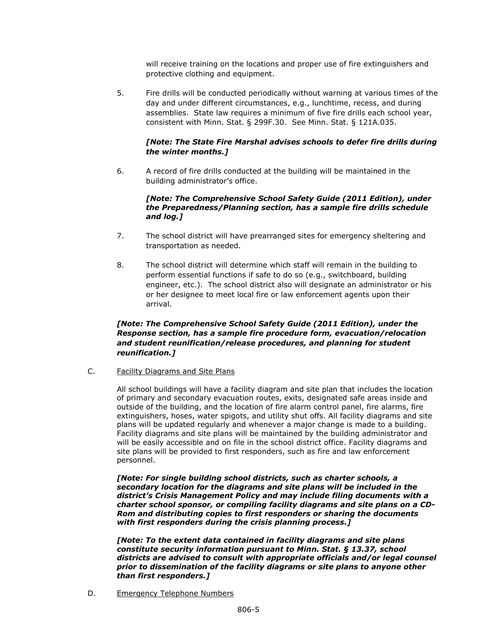will receive training on the locations and proper use of fire extinguishers and protective clothing and equipment.

5. Fire drills will be conducted periodically without warning at various times of the day and under different circumstances, e.g., lunchtime, recess, and during assemblies. State law requires a minimum of five fire drills each school year, consistent with Minn. Stat. § 299F.30. See Minn. Stat. § 121A.035.

## *[Note: The State Fire Marshal advises schools to defer fire drills during the winter months.]*

6. A record of fire drills conducted at the building will be maintained in the building administrator's office.

#### *[Note: The Comprehensive School Safety Guide (2011 Edition), under the Preparedness/Planning section, has a sample fire drills schedule and log.]*

- 7. The school district will have prearranged sites for emergency sheltering and transportation as needed.
- 8. The school district will determine which staff will remain in the building to perform essential functions if safe to do so (e.g., switchboard, building engineer, etc.). The school district also will designate an administrator or his or her designee to meet local fire or law enforcement agents upon their arrival.

# *[Note: The Comprehensive School Safety Guide (2011 Edition), under the Response section, has a sample fire procedure form, evacuation/relocation and student reunification/release procedures, and planning for student reunification.]*

C. Facility Diagrams and Site Plans

All school buildings will have a facility diagram and site plan that includes the location of primary and secondary evacuation routes, exits, designated safe areas inside and outside of the building, and the location of fire alarm control panel, fire alarms, fire extinguishers, hoses, water spigots, and utility shut offs. All facility diagrams and site plans will be updated regularly and whenever a major change is made to a building. Facility diagrams and site plans will be maintained by the building administrator and will be easily accessible and on file in the school district office. Facility diagrams and site plans will be provided to first responders, such as fire and law enforcement personnel.

*[Note: For single building school districts, such as charter schools, a secondary location for the diagrams and site plans will be included in the district's Crisis Management Policy and may include filing documents with a charter school sponsor, or compiling facility diagrams and site plans on a CD-Rom and distributing copies to first responders or sharing the documents with first responders during the crisis planning process.]*

*[Note: To the extent data contained in facility diagrams and site plans constitute security information pursuant to Minn. Stat. § 13.37, school districts are advised to consult with appropriate officials and/or legal counsel prior to dissemination of the facility diagrams or site plans to anyone other than first responders.]*

D. Emergency Telephone Numbers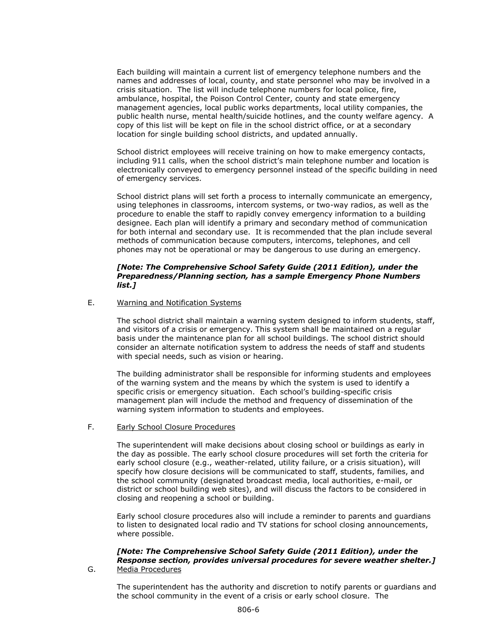Each building will maintain a current list of emergency telephone numbers and the names and addresses of local, county, and state personnel who may be involved in a crisis situation. The list will include telephone numbers for local police, fire, ambulance, hospital, the Poison Control Center, county and state emergency management agencies, local public works departments, local utility companies, the public health nurse, mental health/suicide hotlines, and the county welfare agency. A copy of this list will be kept on file in the school district office, or at a secondary location for single building school districts, and updated annually.

School district employees will receive training on how to make emergency contacts, including 911 calls, when the school district's main telephone number and location is electronically conveyed to emergency personnel instead of the specific building in need of emergency services.

School district plans will set forth a process to internally communicate an emergency, using telephones in classrooms, intercom systems, or two-way radios, as well as the procedure to enable the staff to rapidly convey emergency information to a building designee. Each plan will identify a primary and secondary method of communication for both internal and secondary use. It is recommended that the plan include several methods of communication because computers, intercoms, telephones, and cell phones may not be operational or may be dangerous to use during an emergency.

#### *[Note: The Comprehensive School Safety Guide (2011 Edition), under the Preparedness/Planning section, has a sample Emergency Phone Numbers list.]*

#### E. Warning and Notification Systems

The school district shall maintain a warning system designed to inform students, staff, and visitors of a crisis or emergency. This system shall be maintained on a regular basis under the maintenance plan for all school buildings. The school district should consider an alternate notification system to address the needs of staff and students with special needs, such as vision or hearing.

The building administrator shall be responsible for informing students and employees of the warning system and the means by which the system is used to identify a specific crisis or emergency situation. Each school's building-specific crisis management plan will include the method and frequency of dissemination of the warning system information to students and employees.

#### F. Early School Closure Procedures

The superintendent will make decisions about closing school or buildings as early in the day as possible. The early school closure procedures will set forth the criteria for early school closure (e.g., weather-related, utility failure, or a crisis situation), will specify how closure decisions will be communicated to staff, students, families, and the school community (designated broadcast media, local authorities, e-mail, or district or school building web sites), and will discuss the factors to be considered in closing and reopening a school or building.

Early school closure procedures also will include a reminder to parents and guardians to listen to designated local radio and TV stations for school closing announcements, where possible.

#### *[Note: The Comprehensive School Safety Guide (2011 Edition), under the Response section, provides universal procedures for severe weather shelter.]* G. Media Procedures

The superintendent has the authority and discretion to notify parents or guardians and the school community in the event of a crisis or early school closure. The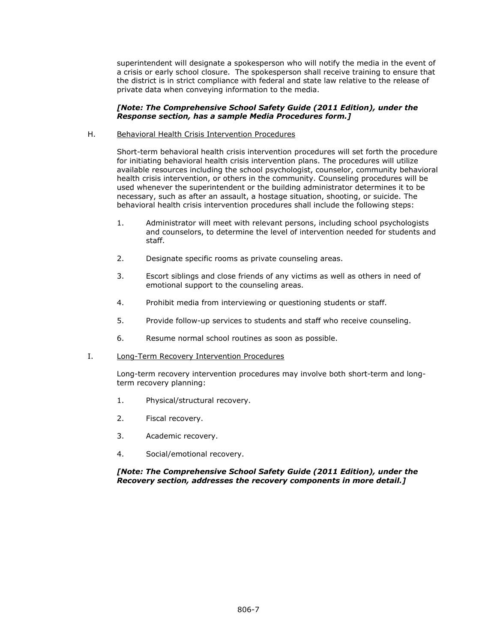superintendent will designate a spokesperson who will notify the media in the event of a crisis or early school closure. The spokesperson shall receive training to ensure that the district is in strict compliance with federal and state law relative to the release of private data when conveying information to the media.

#### *[Note: The Comprehensive School Safety Guide (2011 Edition), under the Response section, has a sample Media Procedures form.]*

#### H. Behavioral Health Crisis Intervention Procedures

Short-term behavioral health crisis intervention procedures will set forth the procedure for initiating behavioral health crisis intervention plans. The procedures will utilize available resources including the school psychologist, counselor, community behavioral health crisis intervention, or others in the community. Counseling procedures will be used whenever the superintendent or the building administrator determines it to be necessary, such as after an assault, a hostage situation, shooting, or suicide. The behavioral health crisis intervention procedures shall include the following steps:

- 1. Administrator will meet with relevant persons, including school psychologists and counselors, to determine the level of intervention needed for students and staff.
- 2. Designate specific rooms as private counseling areas.
- 3. Escort siblings and close friends of any victims as well as others in need of emotional support to the counseling areas.
- 4. Prohibit media from interviewing or questioning students or staff.
- 5. Provide follow-up services to students and staff who receive counseling.
- 6. Resume normal school routines as soon as possible.

#### I. Long-Term Recovery Intervention Procedures

Long-term recovery intervention procedures may involve both short-term and longterm recovery planning:

- 1. Physical/structural recovery.
- 2. Fiscal recovery.
- 3. Academic recovery.
- 4. Social/emotional recovery.

## *[Note: The Comprehensive School Safety Guide (2011 Edition), under the Recovery section, addresses the recovery components in more detail.]*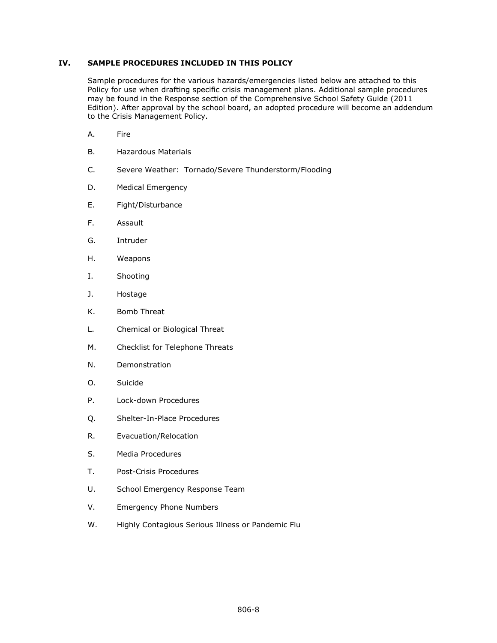## **IV. SAMPLE PROCEDURES INCLUDED IN THIS POLICY**

Sample procedures for the various hazards/emergencies listed below are attached to this Policy for use when drafting specific crisis management plans. Additional sample procedures may be found in the Response section of the Comprehensive School Safety Guide (2011 Edition). After approval by the school board, an adopted procedure will become an addendum to the Crisis Management Policy.

- A. Fire
- B. Hazardous Materials
- C. Severe Weather: Tornado/Severe Thunderstorm/Flooding
- D. Medical Emergency
- E. Fight/Disturbance
- F. Assault
- G. Intruder
- H. Weapons
- I. Shooting
- J. Hostage
- K. Bomb Threat
- L. Chemical or Biological Threat
- M. Checklist for Telephone Threats
- N. Demonstration
- O. Suicide
- P. Lock-down Procedures
- Q. Shelter-In-Place Procedures
- R. Evacuation/Relocation
- S. Media Procedures
- T. Post-Crisis Procedures
- U. School Emergency Response Team
- V. Emergency Phone Numbers
- W. Highly Contagious Serious Illness or Pandemic Flu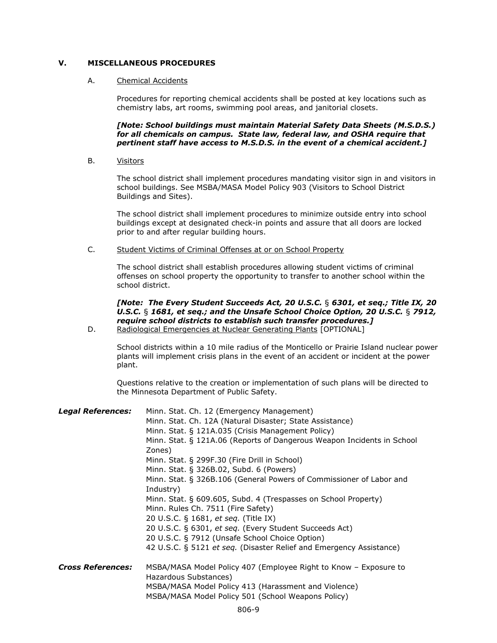# **V. MISCELLANEOUS PROCEDURES**

#### A. Chemical Accidents

Procedures for reporting chemical accidents shall be posted at key locations such as chemistry labs, art rooms, swimming pool areas, and janitorial closets.

*[Note: School buildings must maintain Material Safety Data Sheets (M.S.D.S.) for all chemicals on campus. State law, federal law, and OSHA require that pertinent staff have access to M.S.D.S. in the event of a chemical accident.]*

B. Visitors

The school district shall implement procedures mandating visitor sign in and visitors in school buildings. See MSBA/MASA Model Policy 903 (Visitors to School District Buildings and Sites).

The school district shall implement procedures to minimize outside entry into school buildings except at designated check-in points and assure that all doors are locked prior to and after regular building hours.

C. Student Victims of Criminal Offenses at or on School Property

The school district shall establish procedures allowing student victims of criminal offenses on school property the opportunity to transfer to another school within the school district.

# *[Note: The Every Student Succeeds Act, 20 U.S.C.* § *6301, et seq.; Title IX, 20 U.S.C.* § *1681, et seq.; and the Unsafe School Choice Option, 20 U.S.C.* § *7912, require school districts to establish such transfer procedures.]*

D. Radiological Emergencies at Nuclear Generating Plants [OPTIONAL]

School districts within a 10 mile radius of the Monticello or Prairie Island nuclear power plants will implement crisis plans in the event of an accident or incident at the power plant.

Questions relative to the creation or implementation of such plans will be directed to the Minnesota Department of Public Safety.

| <b>Legal References:</b> | Minn. Stat. Ch. 12 (Emergency Management)<br>Minn. Stat. Ch. 12A (Natural Disaster; State Assistance)<br>Minn. Stat. § 121A.035 (Crisis Management Policy)<br>Minn. Stat. § 121A.06 (Reports of Dangerous Weapon Incidents in School<br>Zones) |
|--------------------------|------------------------------------------------------------------------------------------------------------------------------------------------------------------------------------------------------------------------------------------------|
|                          | Minn. Stat. § 299F.30 (Fire Drill in School)                                                                                                                                                                                                   |
|                          | Minn. Stat. § 326B.02, Subd. 6 (Powers)<br>Minn. Stat. § 326B.106 (General Powers of Commissioner of Labor and<br>Industry)                                                                                                                    |
|                          | Minn. Stat. § 609.605, Subd. 4 (Trespasses on School Property)<br>Minn. Rules Ch. 7511 (Fire Safety)                                                                                                                                           |
|                          | 20 U.S.C. § 1681, et seq. (Title IX)                                                                                                                                                                                                           |
|                          | 20 U.S.C. § 6301, et seq. (Every Student Succeeds Act)                                                                                                                                                                                         |
|                          | 20 U.S.C. § 7912 (Unsafe School Choice Option)                                                                                                                                                                                                 |
|                          | 42 U.S.C. § 5121 et seq. (Disaster Relief and Emergency Assistance)                                                                                                                                                                            |
| <b>Cross References:</b> | MSBA/MASA Model Policy 407 (Employee Right to Know – Exposure to<br>Hazardous Substances)                                                                                                                                                      |
|                          | MSBA/MASA Model Policy 413 (Harassment and Violence)                                                                                                                                                                                           |
|                          | MSBA/MASA Model Policy 501 (School Weapons Policy)                                                                                                                                                                                             |
|                          | $\sim$ $\sim$                                                                                                                                                                                                                                  |